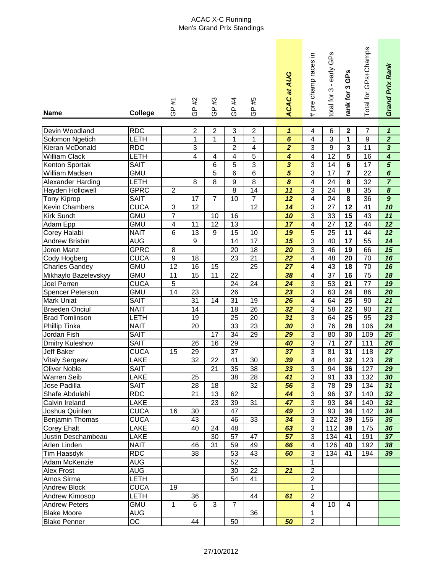## ACAC X-C Running Men's Grand Prix Standings

| <b>Name</b>                           | <b>College</b>            | #1<br>၉<br>၁                 | #2<br><u>၉</u>                     | $\sharp 3$<br><u>၉</u> | #4<br>$\bar{\mathbf{r}}$<br>O | #5<br><u>၉</u>          | <b>ACAC at AUG</b>                 | pre champ races in<br># | otal for 3 - early GPs             | ank for 3 GPs           | Total for GPs+Champs  | Grand Prix Rank                    |
|---------------------------------------|---------------------------|------------------------------|------------------------------------|------------------------|-------------------------------|-------------------------|------------------------------------|-------------------------|------------------------------------|-------------------------|-----------------------|------------------------------------|
|                                       |                           |                              |                                    |                        |                               |                         |                                    |                         |                                    |                         |                       |                                    |
| Devin Woodland                        | <b>RDC</b>                |                              | $\overline{\mathbf{c}}$            | $\boldsymbol{2}$       | 3                             | $\overline{\mathbf{c}}$ | $\boldsymbol{\mathcal{L}}$         | 4                       | $6\phantom{1}6$                    | $\boldsymbol{2}$        | $\overline{7}$        | $\mathbf{1}$                       |
| Solomon Ngetich                       | LETH                      |                              | 1                                  | $\mathbf{1}$           | 1                             | $\mathbf 1$             | $\overline{\boldsymbol{6}}$        | 4                       | 3                                  | 1                       | $\overline{9}$        | $\overline{2}$                     |
| Kieran McDonald                       | <b>RDC</b>                |                              | $\overline{3}$                     |                        | $\overline{2}$                | $\overline{4}$          | $\overline{2}$                     | $\overline{3}$          | $\overline{9}$                     | $\mathbf{3}$            | 11                    | $\overline{\overline{3}}$          |
| <b>William Clack</b>                  | LETH                      |                              | $\overline{4}$                     | 4                      | 4                             | 5                       | 4                                  | 4                       | $\overline{12}$                    | 5                       | 16                    | $\overline{\bf{4}}$                |
| <b>Kenton Sportak</b>                 | <b>SAIT</b>               |                              |                                    | 6                      | 5                             | 3                       | $\overline{\mathbf{3}}$            | 3                       | 14                                 | 6                       | $\overline{17}$       | $\overline{5}$                     |
| William Madsen                        | <b>GMU</b>                |                              |                                    | $\overline{5}$         | 6                             | 6                       | $\overline{5}$                     | 3                       | $\overline{17}$                    | $\overline{7}$          | 22                    | $\overline{6}$                     |
| <b>Alexander Harding</b>              | LETH                      |                              | $\overline{8}$                     | $\overline{8}$         | $\overline{9}$                | $\overline{8}$          | $\overline{\boldsymbol{8}}$        | 4                       | $\overline{24}$                    | $\overline{\mathbf{8}}$ | 32                    | $\overline{7}$                     |
| Hayden Hollowell                      | <b>GPRC</b>               | $\overline{2}$               |                                    |                        | $\overline{8}$                | $\overline{14}$         | 11                                 | 3                       | 24                                 | $\overline{\mathbf{8}}$ | 35                    | $\overline{\boldsymbol{8}}$        |
| <b>Tony Kiprop</b>                    | <b>SAIT</b>               |                              | $\overline{17}$                    | $\overline{7}$         | $\overline{10}$               | $\overline{7}$          | $\overline{12}$                    | 4                       | $\overline{24}$                    | $\overline{\mathbf{8}}$ | $\overline{36}$       | $\overline{9}$                     |
| <b>Kevin Chambers</b>                 | <b>CUCA</b>               | $\ensuremath{\mathsf{3}}$    | 12                                 |                        |                               | $\overline{12}$         | $\overline{14}$                    | $\overline{3}$          | $\overline{27}$                    | $\overline{12}$         | 41                    | $\overline{10}$                    |
| <b>Kirk Sundt</b>                     | <b>GMU</b>                | $\overline{7}$               |                                    | 10                     | $\overline{16}$               |                         | $\overline{10}$                    | $\overline{3}$          | 33                                 | $\overline{15}$         | 43                    | 11                                 |
| Adam Epp<br><b>Corey Halabi</b>       | <b>GMU</b><br><b>NAIT</b> | $\overline{\mathbf{4}}$<br>6 | $\overline{11}$<br>$\overline{13}$ | $\overline{12}$<br>9   | 13<br>$\overline{15}$         |                         | $\overline{17}$<br>$\overline{19}$ | 4                       | $\overline{27}$<br>$\overline{25}$ | $\overline{12}$<br>11   | 44<br>$\overline{44}$ | $\overline{12}$<br>$\overline{12}$ |
|                                       |                           |                              | $\boldsymbol{9}$                   |                        | 14                            | 10<br>17                | $\overline{15}$                    | 5<br>3                  | 40                                 | $\overline{17}$         | 55                    | $\overline{14}$                    |
| <b>Andrew Brisbin</b>                 | <b>AUG</b><br><b>GPRC</b> | 8                            |                                    |                        | $\overline{20}$               | $\overline{18}$         | $\overline{20}$                    | $\overline{3}$          | 46                                 | 19                      | 66                    | $\overline{15}$                    |
| Joren Manz                            | <b>CUCA</b>               | $\overline{9}$               | 18                                 |                        | 23                            | $\overline{21}$         | $\overline{22}$                    | 4                       | 48                                 | $\overline{20}$         | $\overline{70}$       | $\overline{\bf 16}$                |
| Cody Hogberg<br><b>Charles Gandey</b> | <b>GMU</b>                | $\overline{12}$              | 16                                 | 15                     |                               | 25                      | $\overline{27}$                    | 4                       | 43                                 | $\overline{18}$         | 70                    | $\overline{16}$                    |
|                                       | <b>GMU</b>                | 11                           | 15                                 | 11                     | 22                            |                         | 38                                 | 4                       | $\overline{37}$                    | $\overline{16}$         | $\overline{75}$       | $\overline{18}$                    |
| Mikhaylo Bazelevskyy<br>Joel Perren   | <b>CUCA</b>               | 5                            |                                    |                        | 24                            | 24                      | 24                                 | $\overline{3}$          | 53                                 | 21                      | 77                    | 19                                 |
| Spencer Peterson                      | <b>GMU</b>                | 14                           | 23                                 |                        | 26                            |                         | 23                                 | $\overline{3}$          | 63                                 | 24                      | 86                    | 20                                 |
| <b>Mark Uniat</b>                     | <b>SAIT</b>               |                              | 31                                 | 14                     | 31                            | 19                      | 26                                 | 4                       | 64                                 | 25                      | 90                    | 21                                 |
| <b>Braeden Onciul</b>                 | <b>NAIT</b>               |                              | 14                                 |                        | 18                            | 26                      | 32                                 | 3                       | 58                                 | 22                      | 90                    | 21                                 |
| <b>Brad Tomlinson</b>                 | LETH                      |                              | 19                                 |                        | 25                            | 20                      | 31                                 | $\overline{3}$          | 64                                 | 25                      | 95                    | $\overline{23}$                    |
| <b>Phillip Tinka</b>                  | <b>NAIT</b>               |                              | 20                                 |                        | 33                            | 23                      | 30                                 | 3                       | 76                                 | 28                      | 106                   | 24                                 |
| Jordan Fish                           | <b>SAIT</b>               |                              |                                    | 17                     | 34                            | 29                      | 29                                 | 3                       | 80                                 | 30                      | 109                   | 25                                 |
| <b>Dmitry Kuleshov</b>                | <b>SAIT</b>               |                              | 26                                 | 16                     | 29                            |                         | 40                                 | 3                       | $\overline{71}$                    | 27                      | 111                   | 26                                 |
| <b>Jeff Baker</b>                     | <b>CUCA</b>               | 15                           | 29                                 |                        | 37                            |                         | 37                                 | 3                       | 81                                 | 31                      | 118                   | 27                                 |
| <b>Vitaly Sergeev</b>                 | LAKE                      |                              | 32                                 | 22                     | 41                            | 30                      | 39                                 | 4                       | 84                                 | 32                      | 123                   | 28                                 |
| <b>Oliver Noble</b>                   | <b>SAIT</b>               |                              |                                    | 21                     | 35                            | 38                      | 33                                 | 3                       | 94                                 | 36                      | 127                   | 29                                 |
| <b>Warren Seib</b>                    | LAKE                      |                              | 25                                 |                        | 38                            | 28                      | 41                                 | $\overline{3}$          | 91                                 | 33                      | 132                   | 30                                 |
| Jose Padilla                          | <b>SAIT</b>               |                              | 28                                 | 18                     |                               | 32                      | 56                                 | $\overline{3}$          | 78                                 | 29                      | 134                   | 31                                 |
| Shafe Abdulahi                        | <b>RDC</b>                |                              | 21                                 | 13                     | 62                            |                         | 44                                 | $\overline{3}$          | 96                                 | 37                      | 140                   | 32                                 |
| Calvin Ireland                        | LAKE                      |                              |                                    | 23                     | 39                            | 31                      | 47                                 | $\sqrt{3}$              | 93                                 | 34                      | 140                   | 32                                 |
| Joshua Quinlan                        | <b>CUCA</b>               | 16                           | 30                                 |                        | 47                            |                         | 49                                 | $\overline{3}$          | 93                                 | 34                      | 142                   | 34                                 |
| Benjamin Thomas                       | <b>CUCA</b>               |                              | 43                                 |                        | 46                            | 33                      | 34                                 | $\sqrt{3}$              | 122                                | 39                      | 156                   | 35                                 |
| <b>Corey Ehalt</b>                    | LAKE                      |                              | 40                                 | 24                     | 48                            |                         | 63                                 | 3                       | 112                                | 38                      | 175                   | 36                                 |
| Justin Deschambeau                    | LAKE                      |                              |                                    | 30                     | 57                            | 47                      | 57                                 | 3                       | 134                                | 41                      | 191                   | 37                                 |
| Arlen Linden                          | <b>NAIT</b>               |                              | 46                                 | 31                     | 59                            | 49                      | 66                                 | 4                       | 126                                | 40                      | 192                   | 38                                 |
| <b>Tim Haasdyk</b>                    | <b>RDC</b>                |                              | 38                                 |                        | 53                            | 43                      | 60                                 | 3                       | 134                                | 41                      | 194                   | 39                                 |
| Adam McKenzie                         | <b>AUG</b>                |                              |                                    |                        | 52                            |                         |                                    | 1                       |                                    |                         |                       |                                    |
| <b>Alex Frost</b>                     | <b>AUG</b>                |                              |                                    |                        | 30                            | 22                      | 21                                 | $\overline{c}$          |                                    |                         |                       |                                    |
| Amos Sirma                            | LETH                      |                              |                                    |                        | 54                            | 41                      |                                    | $\overline{2}$          |                                    |                         |                       |                                    |
| <b>Andrew Block</b>                   | <b>CUCA</b>               | 19                           |                                    |                        |                               |                         |                                    | $\mathbf{1}$            |                                    |                         |                       |                                    |
| Andrew Kimosop                        | LETH                      |                              | 36                                 |                        |                               | 44                      | 61                                 | $\overline{2}$          |                                    |                         |                       |                                    |
| <b>Andrew Peters</b>                  | <b>GMU</b>                | 1                            | 6                                  | 3                      | $\overline{7}$                |                         |                                    | $\overline{\mathbf{4}}$ | 10                                 | 4                       |                       |                                    |
| <b>Blake Moore</b>                    | <b>AUG</b>                |                              |                                    |                        |                               | 36                      |                                    | $\mathbf 1$             |                                    |                         |                       |                                    |
| <b>Blake Penner</b>                   | ОC                        |                              | 44                                 |                        | 50                            |                         | 50                                 | $\overline{2}$          |                                    |                         |                       |                                    |